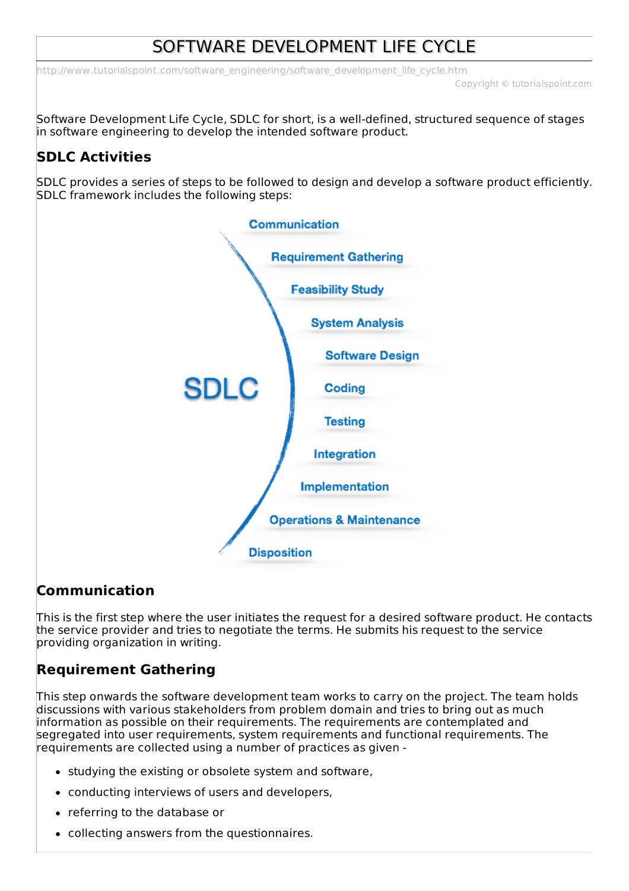# SOFTWARE DEVELOPMENT LIFE CYCLE

[http://www.tutorialspoint.com/software\\_engineering/software\\_development\\_life\\_cycle.htm](http://www.tutorialspoint.com/software_engineering/software_development_life_cycle.htm)

Copyright © tutorialspoint.com

Software Development Life Cycle, SDLC for short, is a well-defined, structured sequence of stages in software engineering to develop the intended software product.

#### **SDLC Activities**

SDLC provides a series of steps to be followed to design and develop a software product efficiently. SDLC framework includes the following steps:



#### **Communication**

This is the first step where the user initiates the request for a desired software product. He contacts the service provider and tries to negotiate the terms. He submits his request to the service providing organization in writing.

#### **Requirement Gathering**

This step onwards the software development team works to carry on the project. The team holds discussions with various stakeholders from problem domain and tries to bring out as much information as possible on their requirements. The requirements are contemplated and segregated into user requirements, system requirements and functional requirements. The requirements are collected using a number of practices as given -

- studying the existing or obsolete system and software.
- conducting interviews of users and developers,
- referring to the database or
- collecting answers from the questionnaires.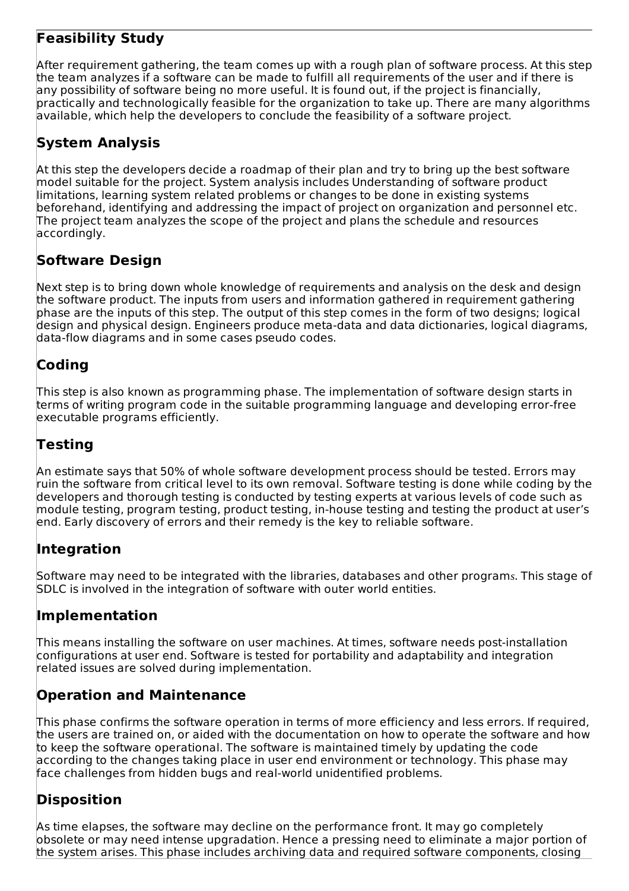# **Feasibility Study**

After requirement gathering, the team comes up with a rough plan of software process. At this step the team analyzes if a software can be made to fulfill all requirements of the user and if there is any possibility of software being no more useful. It is found out, if the project is financially, practically and technologically feasible for the organization to take up. There are many algorithms available, which help the developers to conclude the feasibility of a software project.

## **System Analysis**

At this step the developers decide a roadmap of their plan and try to bring up the best software model suitable for the project. System analysis includes Understanding of software product limitations, learning system related problems or changes to be done in existing systems beforehand, identifying and addressing the impact of project on organization and personnel etc. The project team analyzes the scope of the project and plans the schedule and resources accordingly.

### **Software Design**

Next step is to bring down whole knowledge of requirements and analysis on the desk and design the software product. The inputs from users and information gathered in requirement gathering phase are the inputs of this step. The output of this step comes in the form of two designs; logical design and physical design. Engineers produce meta-data and data dictionaries, logical diagrams, data-flow diagrams and in some cases pseudo codes.

# **Coding**

This step is also known as programming phase. The implementation of software design starts in terms of writing program code in the suitable programming language and developing error-free executable programs efficiently.

## **Testing**

An estimate says that 50% of whole software development process should be tested. Errors may ruin the software from critical level to its own removal. Software testing is done while coding by the developers and thorough testing is conducted by testing experts at various levels of code such as module testing, program testing, product testing, in-house testing and testing the product at user's end. Early discovery of errors and their remedy is the key to reliable software.

#### **Integration**

Software may need to be integrated with the libraries, databases and other program*s*. This stage of SDLC is involved in the integration of software with outer world entities.

#### **Implementation**

This means installing the software on user machines. At times, software needs post-installation configurations at user end. Software is tested for portability and adaptability and integration related issues are solved during implementation.

#### **Operation and Maintenance**

This phase confirms the software operation in terms of more efficiency and less errors. If required, the users are trained on, or aided with the documentation on how to operate the software and how to keep the software operational. The software is maintained timely by updating the code according to the changes taking place in user end environment or technology. This phase may face challenges from hidden bugs and real-world unidentified problems.

#### **Disposition**

As time elapses, the software may decline on the performance front. It may go completely obsolete or may need intense upgradation. Hence a pressing need to eliminate a major portion of the system arises. This phase includes archiving data and required software components, closing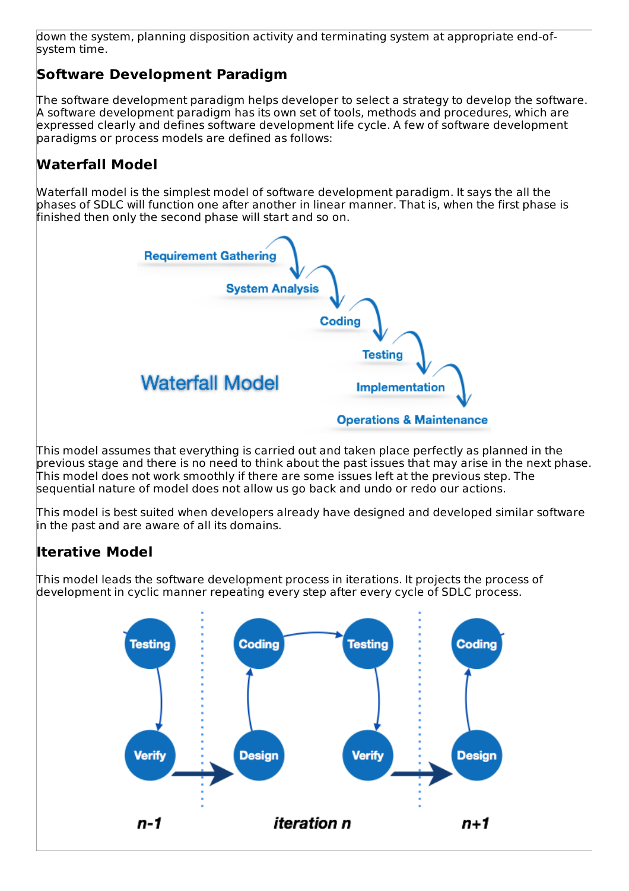down the system, planning disposition activity and terminating system at appropriate end-ofsystem time.

#### **Software Development Paradigm**

The software development paradigm helps developer to select a strategy to develop the software. A software development paradigm has its own set of tools, methods and procedures, which are expressed clearly and defines software development life cycle. A few of software development paradigms or process models are defined as follows:

## **Waterfall Model**

Waterfall model is the simplest model of software development paradigm. It says the all the phases of SDLC will function one after another in linear manner. That is, when the first phase is finished then only the second phase will start and so on.



This model assumes that everything is carried out and taken place perfectly as planned in the previous stage and there is no need to think about the past issues that may arise in the next phase. This model does not work smoothly if there are some issues left at the previous step. The sequential nature of model does not allow us go back and undo or redo our actions.

This model is best suited when developers already have designed and developed similar software in the past and are aware of all its domains.

# **Iterative Model**

This model leads the software development process in iterations. It projects the process of development in cyclic manner repeating every step after every cycle of SDLC process.

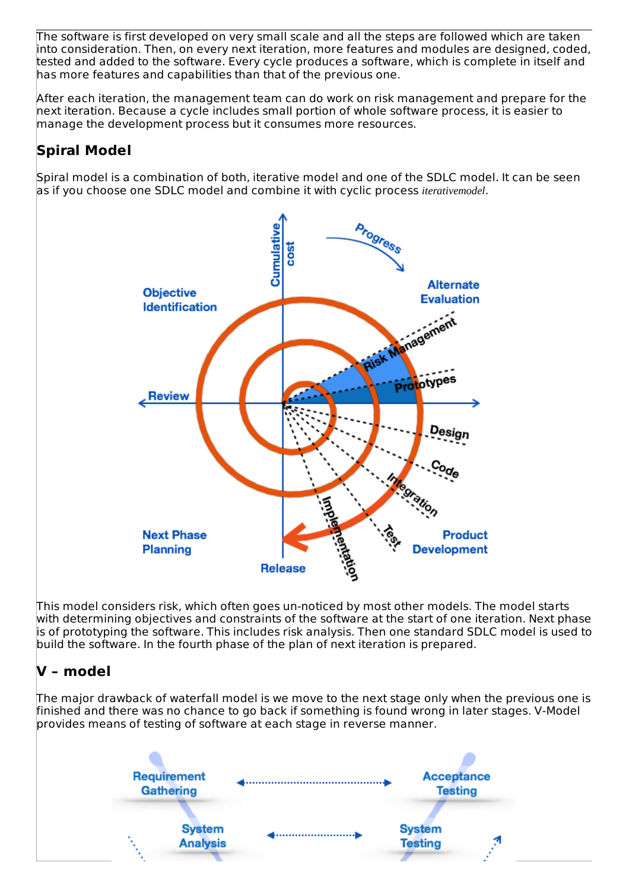The software is first developed on very small scale and all the steps are followed which are taken into consideration. Then, on every next iteration, more features and modules are designed, coded, tested and added to the software. Every cycle produces a software, which is complete in itself and has more features and capabilities than that of the previous one.

After each iteration, the management team can do work on risk management and prepare for the next iteration. Because a cycle includes small portion of whole software process, it is easier to manage the development process but it consumes more resources.

# **Spiral Model**

Spiral model is a combination of both, iterative model and one of the SDLC model. It can be seen as if you choose one SDLC model and combine it with cyclic process *iterativemodel*.



This model considers risk, which often goes un-noticed by most other models. The model starts with determining objectives and constraints of the software at the start of one iteration. Next phase is of prototyping the software. This includes risk analysis. Then one standard SDLC model is used to build the software. In the fourth phase of the plan of next iteration is prepared.

# **V – model**

The major drawback of waterfall model is we move to the next stage only when the previous one is finished and there was no chance to go back if something is found wrong in later stages. V-Model provides means of testing of software at each stage in reverse manner.